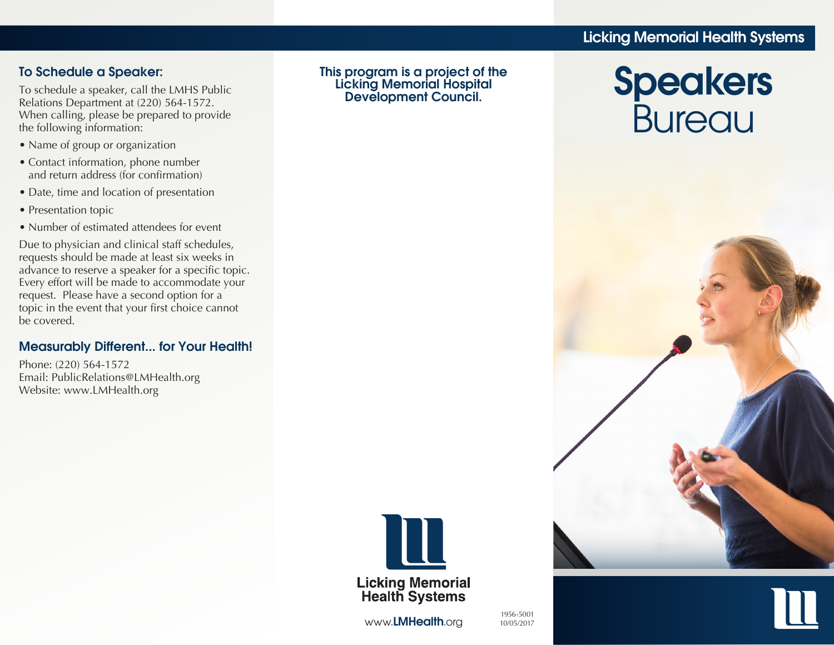# Licking Memorial Health Systems

### To Schedule a Speaker:

To schedule a speaker, call the LMHS Public Relations Department at (220) 564-1572. When calling, please be prepared to provide the following information:

- Name of group or organization
- Contact information, phone number and return address (for confirmation)
- Date, time and location of presentation
- Presentation topic
- Number of estimated attendees for event

Due to physician and clinical staff schedules, requests should be made at least six weeks in advance to reserve a speaker for a specific topic. Every effort will be made to accommodate your request. Please have a second option for a topic in the event that your first choice cannot be covered.

#### Measurably Different... for Your Health!

Phone: (220) 564-1572 Email: PublicRelations@LMHealth.org Website: www.LMHealth.org

This program is a project of the Licking Memorial Hospital Development Council.



www.LMHealth.org

1956-5001 10/05/2017